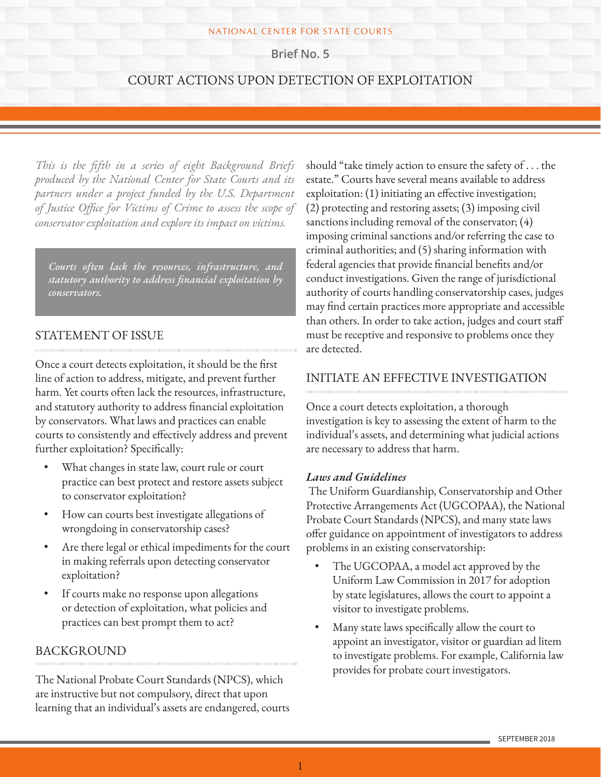#### NATIONAL CENTER FOR STATE COURTS

**Brief No. 5**

## COURT ACTIONS UPON DETECTION OF EXPLOITATION

*This is the fifth in a series of eight Background Briefs produced by the National Center for State Courts and its partners under a project funded by the U.S. Department of Justice Office for Victims of Crime to assess the scope of conservator exploitation and explore its impact on victims.*

*Courts often lack the resources, infrastructure, and statutory authority to address financial exploitation by conservators.* 

## STATEMENT OF ISSUE

Once a court detects exploitation, it should be the first line of action to address, mitigate, and prevent further harm. Yet courts often lack the resources, infrastructure, and statutory authority to address financial exploitation by conservators. What laws and practices can enable courts to consistently and effectively address and prevent further exploitation? Specifically:

- What changes in state law, court rule or court practice can best protect and restore assets subject to conservator exploitation?
- How can courts best investigate allegations of wrongdoing in conservatorship cases?
- Are there legal or ethical impediments for the court in making referrals upon detecting conservator exploitation?
- If courts make no response upon allegations or detection of exploitation, what policies and practices can best prompt them to act?

## BACKGROUND

The National Probate Court Standards (NPCS), which are instructive but not compulsory, direct that upon learning that an individual's assets are endangered, courts should "take timely action to ensure the safety of . . . the estate." Courts have several means available to address exploitation: (1) initiating an effective investigation; (2) protecting and restoring assets; (3) imposing civil sanctions including removal of the conservator; (4) imposing criminal sanctions and/or referring the case to criminal authorities; and (5) sharing information with federal agencies that provide financial benefits and/or conduct investigations. Given the range of jurisdictional authority of courts handling conservatorship cases, judges may find certain practices more appropriate and accessible than others. In order to take action, judges and court staff must be receptive and responsive to problems once they are detected.

## INITIATE AN EFFECTIVE INVESTIGATION

Once a court detects exploitation, a thorough investigation is key to assessing the extent of harm to the individual's assets, and determining what judicial actions are necessary to address that harm.

#### *Laws and Guidelines*

 The Uniform Guardianship, Conservatorship and Other Protective Arrangements Act (UGCOPAA), the National Probate Court Standards (NPCS), and many state laws offer guidance on appointment of investigators to address problems in an existing conservatorship:

- The UGCOPAA, a model act approved by the Uniform Law Commission in 2017 for adoption by state legislatures, allows the court to appoint a visitor to investigate problems.
- Many state laws specifically allow the court to appoint an investigator, visitor or guardian ad litem to investigate problems. For example, California law provides for probate court investigators.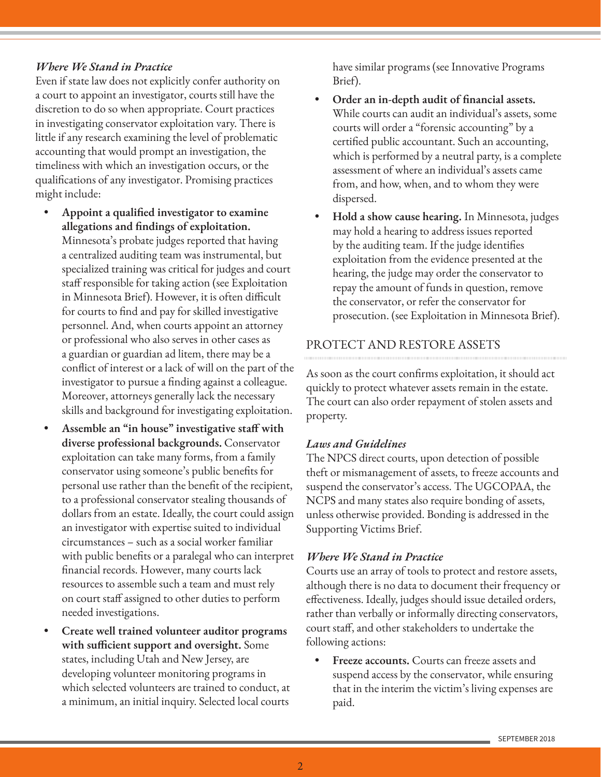### *Where We Stand in Practice*

Even if state law does not explicitly confer authority on a court to appoint an investigator, courts still have the discretion to do so when appropriate. Court practices in investigating conservator exploitation vary. There is little if any research examining the level of problematic accounting that would prompt an investigation, the timeliness with which an investigation occurs, or the qualifications of any investigator. Promising practices might include:

- **• Appoint a qualified investigator to examine allegations and findings of exploitation.** Minnesota's probate judges reported that having a centralized auditing team was instrumental, but specialized training was critical for judges and court staff responsible for taking action (see Exploitation in Minnesota Brief). However, it is often difficult for courts to find and pay for skilled investigative personnel. And, when courts appoint an attorney or professional who also serves in other cases as a guardian or guardian ad litem, there may be a conflict of interest or a lack of will on the part of the investigator to pursue a finding against a colleague. Moreover, attorneys generally lack the necessary skills and background for investigating exploitation.
- **• Assemble an "in house" investigative staff with diverse professional backgrounds.** Conservator exploitation can take many forms, from a family conservator using someone's public benefits for personal use rather than the benefit of the recipient, to a professional conservator stealing thousands of dollars from an estate. Ideally, the court could assign an investigator with expertise suited to individual circumstances – such as a social worker familiar with public benefits or a paralegal who can interpret financial records. However, many courts lack resources to assemble such a team and must rely on court staff assigned to other duties to perform needed investigations.
- **• Create well trained volunteer auditor programs with sufficient support and oversight.** Some states, including Utah and New Jersey, are developing volunteer monitoring programs in which selected volunteers are trained to conduct, at a minimum, an initial inquiry. Selected local courts

have similar programs (see Innovative Programs Brief).

- **• Order an in-depth audit of financial assets.**  While courts can audit an individual's assets, some courts will order a "forensic accounting" by a certified public accountant. Such an accounting, which is performed by a neutral party, is a complete assessment of where an individual's assets came from, and how, when, and to whom they were dispersed.
- **• Hold a show cause hearing.** In Minnesota, judges may hold a hearing to address issues reported by the auditing team. If the judge identifies exploitation from the evidence presented at the hearing, the judge may order the conservator to repay the amount of funds in question, remove the conservator, or refer the conservator for prosecution. (see Exploitation in Minnesota Brief).

## PROTECT AND RESTORE ASSETS

As soon as the court confirms exploitation, it should act quickly to protect whatever assets remain in the estate. The court can also order repayment of stolen assets and property.

### *Laws and Guidelines*

The NPCS direct courts, upon detection of possible theft or mismanagement of assets, to freeze accounts and suspend the conservator's access. The UGCOPAA, the NCPS and many states also require bonding of assets, unless otherwise provided. Bonding is addressed in the Supporting Victims Brief.

### *Where We Stand in Practice*

Courts use an array of tools to protect and restore assets, although there is no data to document their frequency or effectiveness. Ideally, judges should issue detailed orders, rather than verbally or informally directing conservators, court staff, and other stakeholders to undertake the following actions:

**• Freeze accounts.** Courts can freeze assets and suspend access by the conservator, while ensuring that in the interim the victim's living expenses are paid.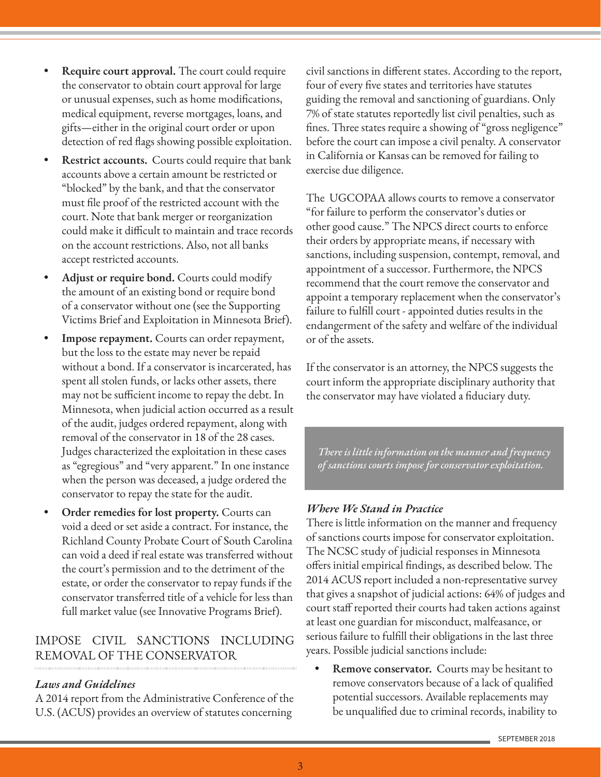- **• Require court approval.** The court could require the conservator to obtain court approval for large or unusual expenses, such as home modifications, medical equipment, reverse mortgages, loans, and gifts—either in the original court order or upon detection of red flags showing possible exploitation.
- **• Restrict accounts.** Courts could require that bank accounts above a certain amount be restricted or "blocked" by the bank, and that the conservator must file proof of the restricted account with the court. Note that bank merger or reorganization could make it difficult to maintain and trace records on the account restrictions. Also, not all banks accept restricted accounts.
- **• Adjust or require bond.** Courts could modify the amount of an existing bond or require bond of a conservator without one (see the Supporting Victims Brief and Exploitation in Minnesota Brief).
- **• Impose repayment.** Courts can order repayment, but the loss to the estate may never be repaid without a bond. If a conservator is incarcerated, has spent all stolen funds, or lacks other assets, there may not be sufficient income to repay the debt. In Minnesota, when judicial action occurred as a result of the audit, judges ordered repayment, along with removal of the conservator in 18 of the 28 cases. Judges characterized the exploitation in these cases as "egregious" and "very apparent." In one instance when the person was deceased, a judge ordered the conservator to repay the state for the audit.
- **• Order remedies for lost property.** Courts can void a deed or set aside a contract. For instance, the Richland County Probate Court of South Carolina can void a deed if real estate was transferred without the court's permission and to the detriment of the estate, or order the conservator to repay funds if the conservator transferred title of a vehicle for less than full market value (see Innovative Programs Brief).

# IMPOSE CIVIL SANCTIONS INCLUDING REMOVAL OF THE CONSERVATOR

## *Laws and Guidelines*

A 2014 report from the Administrative Conference of the U.S. (ACUS) provides an overview of statutes concerning

civil sanctions in different states. According to the report, four of every five states and territories have statutes guiding the removal and sanctioning of guardians. Only 7% of state statutes reportedly list civil penalties, such as fines. Three states require a showing of "gross negligence" before the court can impose a civil penalty. A conservator in California or Kansas can be removed for failing to exercise due diligence.

The UGCOPAA allows courts to remove a conservator "for failure to perform the conservator's duties or other good cause." The NPCS direct courts to enforce their orders by appropriate means, if necessary with sanctions, including suspension, contempt, removal, and appointment of a successor. Furthermore, the NPCS recommend that the court remove the conservator and appoint a temporary replacement when the conservator's failure to fulfill court - appointed duties results in the endangerment of the safety and welfare of the individual or of the assets.

If the conservator is an attorney, the NPCS suggests the court inform the appropriate disciplinary authority that the conservator may have violated a fiduciary duty.

*There is little information on the manner and frequency of sanctions courts impose for conservator exploitation.* 

### *Where We Stand in Practice*

There is little information on the manner and frequency of sanctions courts impose for conservator exploitation. The NCSC study of judicial responses in Minnesota offers initial empirical findings, as described below. The 2014 ACUS report included a non-representative survey that gives a snapshot of judicial actions: 64% of judges and court staff reported their courts had taken actions against at least one guardian for misconduct, malfeasance, or serious failure to fulfill their obligations in the last three years. Possible judicial sanctions include:

**• Remove conservator.** Courts may be hesitant to remove conservators because of a lack of qualified potential successors. Available replacements may be unqualified due to criminal records, inability to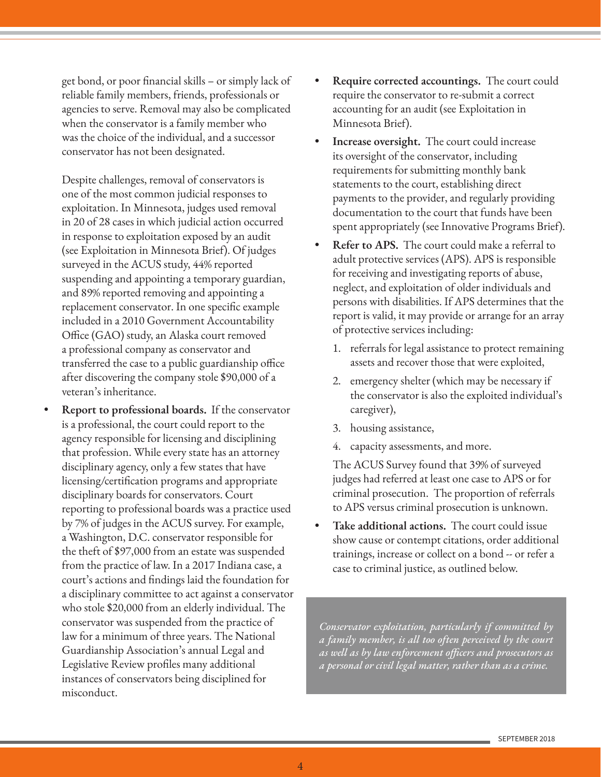get bond, or poor financial skills – or simply lack of reliable family members, friends, professionals or agencies to serve. Removal may also be complicated when the conservator is a family member who was the choice of the individual, and a successor conservator has not been designated.

Despite challenges, removal of conservators is one of the most common judicial responses to exploitation. In Minnesota, judges used removal in 20 of 28 cases in which judicial action occurred in response to exploitation exposed by an audit (see Exploitation in Minnesota Brief). Of judges surveyed in the ACUS study, 44% reported suspending and appointing a temporary guardian, and 89% reported removing and appointing a replacement conservator. In one specific example included in a 2010 Government Accountability Office (GAO) study, an Alaska court removed a professional company as conservator and transferred the case to a public guardianship office after discovering the company stole \$90,000 of a veteran's inheritance.

**• Report to professional boards.** If the conservator is a professional, the court could report to the agency responsible for licensing and disciplining that profession. While every state has an attorney disciplinary agency, only a few states that have licensing/certification programs and appropriate disciplinary boards for conservators. Court reporting to professional boards was a practice used by 7% of judges in the ACUS survey. For example, a Washington, D.C. conservator responsible for the theft of \$97,000 from an estate was suspended from the practice of law. In a 2017 Indiana case, a court's actions and findings laid the foundation for a disciplinary committee to act against a conservator who stole \$20,000 from an elderly individual. The conservator was suspended from the practice of law for a minimum of three years. The National Guardianship Association's annual Legal and Legislative Review profiles many additional instances of conservators being disciplined for misconduct.

- **• Require corrected accountings.** The court could require the conservator to re-submit a correct accounting for an audit (see Exploitation in Minnesota Brief).
- **• Increase oversight.** The court could increase its oversight of the conservator, including requirements for submitting monthly bank statements to the court, establishing direct payments to the provider, and regularly providing documentation to the court that funds have been spent appropriately (see Innovative Programs Brief).
- **• Refer to APS.** The court could make a referral to adult protective services (APS). APS is responsible for receiving and investigating reports of abuse, neglect, and exploitation of older individuals and persons with disabilities. If APS determines that the report is valid, it may provide or arrange for an array of protective services including:
	- 1. referrals for legal assistance to protect remaining assets and recover those that were exploited,
	- 2. emergency shelter (which may be necessary if the conservator is also the exploited individual's caregiver),
	- 3. housing assistance,
	- 4. capacity assessments, and more.

The ACUS Survey found that 39% of surveyed judges had referred at least one case to APS or for criminal prosecution. The proportion of referrals to APS versus criminal prosecution is unknown.

**• Take additional actions.** The court could issue show cause or contempt citations, order additional trainings, increase or collect on a bond -- or refer a case to criminal justice, as outlined below.

*Conservator exploitation, particularly if committed by a family member, is all too often perceived by the court as well as by law enforcement officers and prosecutors as a personal or civil legal matter, rather than as a crime.*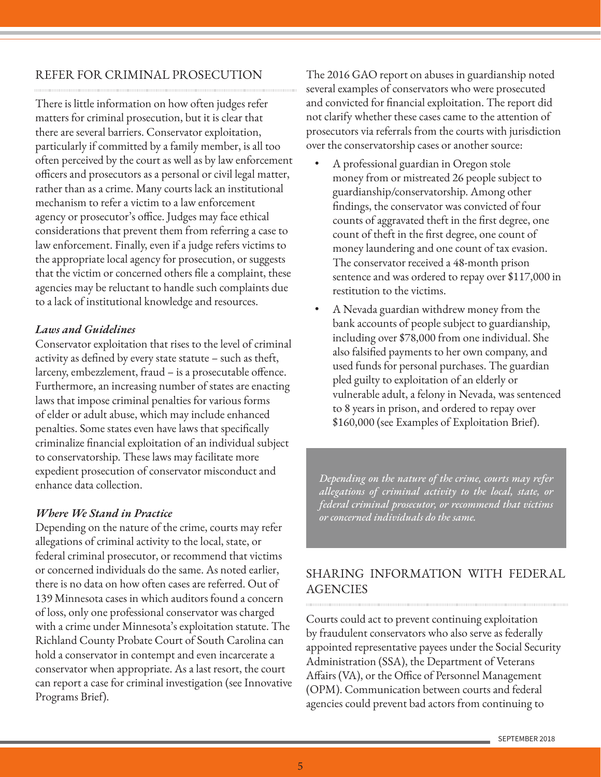## REFER FOR CRIMINAL PROSECUTION

There is little information on how often judges refer matters for criminal prosecution, but it is clear that there are several barriers. Conservator exploitation, particularly if committed by a family member, is all too often perceived by the court as well as by law enforcement officers and prosecutors as a personal or civil legal matter, rather than as a crime. Many courts lack an institutional mechanism to refer a victim to a law enforcement agency or prosecutor's office. Judges may face ethical considerations that prevent them from referring a case to law enforcement. Finally, even if a judge refers victims to the appropriate local agency for prosecution, or suggests that the victim or concerned others file a complaint, these agencies may be reluctant to handle such complaints due to a lack of institutional knowledge and resources.

## *Laws and Guidelines*

Conservator exploitation that rises to the level of criminal activity as defined by every state statute – such as theft, larceny, embezzlement, fraud – is a prosecutable offence. Furthermore, an increasing number of states are enacting laws that impose criminal penalties for various forms of elder or adult abuse, which may include enhanced penalties. Some states even have laws that specifically criminalize financial exploitation of an individual subject to conservatorship. These laws may facilitate more expedient prosecution of conservator misconduct and enhance data collection.

## *Where We Stand in Practice*

Depending on the nature of the crime, courts may refer allegations of criminal activity to the local, state, or federal criminal prosecutor, or recommend that victims or concerned individuals do the same. As noted earlier, there is no data on how often cases are referred. Out of 139 Minnesota cases in which auditors found a concern of loss, only one professional conservator was charged with a crime under Minnesota's exploitation statute. The Richland County Probate Court of South Carolina can hold a conservator in contempt and even incarcerate a conservator when appropriate. As a last resort, the court can report a case for criminal investigation (see Innovative Programs Brief).

The 2016 GAO report on abuses in guardianship noted several examples of conservators who were prosecuted and convicted for financial exploitation. The report did not clarify whether these cases came to the attention of prosecutors via referrals from the courts with jurisdiction over the conservatorship cases or another source:

- A professional guardian in Oregon stole money from or mistreated 26 people subject to guardianship/conservatorship. Among other findings, the conservator was convicted of four counts of aggravated theft in the first degree, one count of theft in the first degree, one count of money laundering and one count of tax evasion. The conservator received a 48-month prison sentence and was ordered to repay over \$117,000 in restitution to the victims.
- A Nevada guardian withdrew money from the bank accounts of people subject to guardianship, including over \$78,000 from one individual. She also falsified payments to her own company, and used funds for personal purchases. The guardian pled guilty to exploitation of an elderly or vulnerable adult, a felony in Nevada, was sentenced to 8 years in prison, and ordered to repay over \$160,000 (see Examples of Exploitation Brief).

*Depending on the nature of the crime, courts may refer allegations of criminal activity to the local, state, or federal criminal prosecutor, or recommend that victims or concerned individuals do the same.*

# SHARING INFORMATION WITH FEDERAL **AGENCIES**

Courts could act to prevent continuing exploitation by fraudulent conservators who also serve as federally appointed representative payees under the Social Security Administration (SSA), the Department of Veterans Affairs (VA), or the Office of Personnel Management (OPM). Communication between courts and federal agencies could prevent bad actors from continuing to